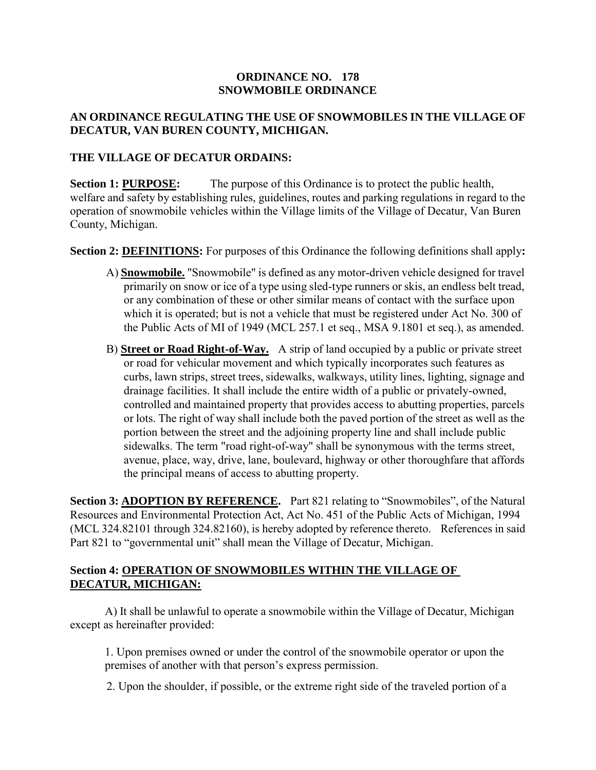### **ORDINANCE NO. 178 SNOWMOBILE ORDINANCE**

# **AN ORDINANCE REGULATING THE USE OF SNOWMOBILES IN THE VILLAGE OF DECATUR, VAN BUREN COUNTY, MICHIGAN.**

### **THE VILLAGE OF DECATUR ORDAINS:**

**Section 1: PURPOSE:** The purpose of this Ordinance is to protect the public health, welfare and safety by establishing rules, guidelines, routes and parking regulations in regard to the operation of snowmobile vehicles within the Village limits of the Village of Decatur, Van Buren County, Michigan.

**Section 2: DEFINITIONS:** For purposes of this Ordinance the following definitions shall apply**:** 

- A) **Snowmobile.** "Snowmobile" is defined as any motor-driven vehicle designed for travel primarily on snow or ice of a type using sled-type runners or skis, an endless belt tread, or any combination of these or other similar means of contact with the surface upon which it is operated; but is not a vehicle that must be registered under Act No. 300 of the Public Acts of MI of 1949 (MCL 257.1 et seq., MSA 9.1801 et seq.), as amended.
- B) **Street or Road Right-of-Way.** A strip of land occupied by a public or private street or road for vehicular movement and which typically incorporates such features as curbs, lawn strips, street trees, sidewalks, walkways, utility lines, lighting, signage and drainage facilities. It shall include the entire width of a public or privately-owned, controlled and maintained property that provides access to abutting properties, parcels or lots. The right of way shall include both the paved portion of the street as well as the portion between the street and the adjoining property line and shall include public sidewalks. The term "road right-of-way" shall be synonymous with the terms street, avenue, place, way, drive, lane, boulevard, highway or other thoroughfare that affords the principal means of access to abutting property.

**Section 3: ADOPTION BY REFERENCE.** Part 821 relating to "Snowmobiles", of the Natural Resources and Environmental Protection Act, Act No. 451 of the Public Acts of Michigan, 1994 (MCL 324.82101 through 324.82160), is hereby adopted by reference thereto. References in said Part 821 to "governmental unit" shall mean the Village of Decatur, Michigan.

# **Section 4: OPERATION OF SNOWMOBILES WITHIN THE VILLAGE OF DECATUR, MICHIGAN:**

A) It shall be unlawful to operate a snowmobile within the Village of Decatur, Michigan except as hereinafter provided:

1. Upon premises owned or under the control of the snowmobile operator or upon the premises of another with that person's express permission.

2. Upon the shoulder, if possible, or the extreme right side of the traveled portion of a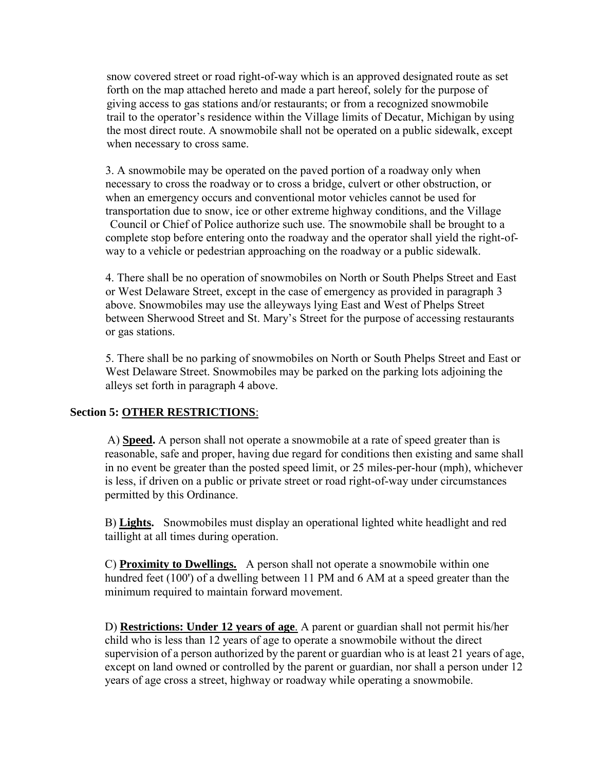snow covered street or road right-of-way which is an approved designated route as set forth on the map attached hereto and made a part hereof, solely for the purpose of giving access to gas stations and/or restaurants; or from a recognized snowmobile trail to the operator's residence within the Village limits of Decatur, Michigan by using the most direct route. A snowmobile shall not be operated on a public sidewalk, except when necessary to cross same.

3. A snowmobile may be operated on the paved portion of a roadway only when necessary to cross the roadway or to cross a bridge, culvert or other obstruction, or when an emergency occurs and conventional motor vehicles cannot be used for transportation due to snow, ice or other extreme highway conditions, and the Village Council or Chief of Police authorize such use. The snowmobile shall be brought to a complete stop before entering onto the roadway and the operator shall yield the right-ofway to a vehicle or pedestrian approaching on the roadway or a public sidewalk.

4. There shall be no operation of snowmobiles on North or South Phelps Street and East or West Delaware Street, except in the case of emergency as provided in paragraph 3 above. Snowmobiles may use the alleyways lying East and West of Phelps Street between Sherwood Street and St. Mary's Street for the purpose of accessing restaurants or gas stations.

5. There shall be no parking of snowmobiles on North or South Phelps Street and East or West Delaware Street. Snowmobiles may be parked on the parking lots adjoining the alleys set forth in paragraph 4 above.

# **Section 5: OTHER RESTRICTIONS**:

 A) **Speed.** A person shall not operate a snowmobile at a rate of speed greater than is reasonable, safe and proper, having due regard for conditions then existing and same shall in no event be greater than the posted speed limit, or 25 miles-per-hour (mph), whichever is less, if driven on a public or private street or road right-of-way under circumstances permitted by this Ordinance.

B) **Lights.** Snowmobiles must display an operational lighted white headlight and red taillight at all times during operation.

C) **Proximity to Dwellings.** A person shall not operate a snowmobile within one hundred feet (100') of a dwelling between 11 PM and 6 AM at a speed greater than the minimum required to maintain forward movement.

D) **Restrictions: Under 12 years of age**. A parent or guardian shall not permit his/her child who is less than 12 years of age to operate a snowmobile without the direct supervision of a person authorized by the parent or guardian who is at least 21 years of age, except on land owned or controlled by the parent or guardian, nor shall a person under 12 years of age cross a street, highway or roadway while operating a snowmobile.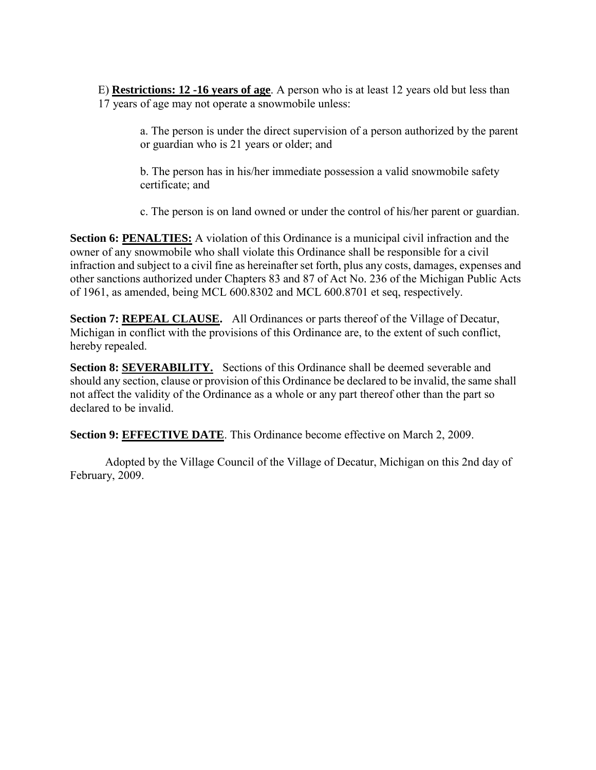E) **Restrictions: 12 -16 years of age**. A person who is at least 12 years old but less than 17 years of age may not operate a snowmobile unless:

> a. The person is under the direct supervision of a person authorized by the parent or guardian who is 21 years or older; and

b. The person has in his/her immediate possession a valid snowmobile safety certificate; and

c. The person is on land owned or under the control of his/her parent or guardian.

**Section 6: PENALTIES:** A violation of this Ordinance is a municipal civil infraction and the owner of any snowmobile who shall violate this Ordinance shall be responsible for a civil infraction and subject to a civil fine as hereinafter set forth, plus any costs, damages, expenses and other sanctions authorized under Chapters 83 and 87 of Act No. 236 of the Michigan Public Acts of 1961, as amended, being MCL 600.8302 and MCL 600.8701 et seq, respectively.

**Section 7: REPEAL CLAUSE.** All Ordinances or parts thereof of the Village of Decatur, Michigan in conflict with the provisions of this Ordinance are, to the extent of such conflict, hereby repealed.

**Section 8: SEVERABILITY.** Sections of this Ordinance shall be deemed severable and should any section, clause or provision of this Ordinance be declared to be invalid, the same shall not affect the validity of the Ordinance as a whole or any part thereof other than the part so declared to be invalid.

**Section 9: EFFECTIVE DATE**. This Ordinance become effective on March 2, 2009.

Adopted by the Village Council of the Village of Decatur, Michigan on this 2nd day of February, 2009.